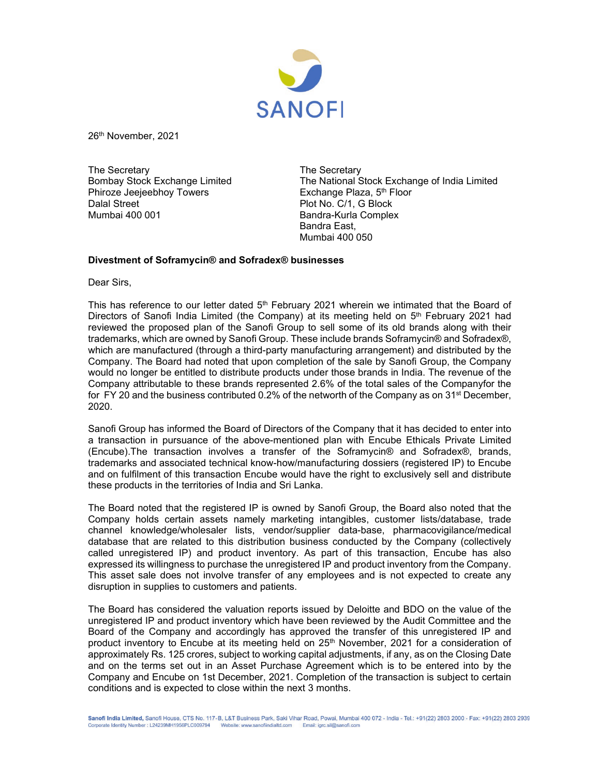

26th November, 2021

The Secretary<br>Bombay Stock Exchange Limited The National S Phiroze Jeejeebhoy Towers Dalal Street **Plot No. C/1, G Block** Mumbai 400 001 **Bandra-Kurla Complex** 

The National Stock Exchange of India Limited<br>Exchange Plaza, 5<sup>th</sup> Floor Bandra East, Mumbai 400 050

## **Divestment of Soframycin® and Sofradex® businesses**

Dear Sirs,

This has reference to our letter dated  $5<sup>th</sup>$  February 2021 wherein we intimated that the Board of Directors of Sanofi India Limited (the Company) at its meeting held on 5<sup>th</sup> February 2021 had reviewed the proposed plan of the Sanofi Group to sell some of its old brands along with their trademarks, which are owned by Sanofi Group. These include brands Soframycin® and Sofradex®, which are manufactured (through a third-party manufacturing arrangement) and distributed by the Company. The Board had noted that upon completion of the sale by Sanofi Group, the Company would no longer be entitled to distribute products under those brands in India. The revenue of the Company attributable to these brands represented 2.6% of the total sales of the Companyfor the for FY 20 and the business contributed 0.2% of the networth of the Company as on  $31<sup>st</sup>$  December, 2020.

Sanofi Group has informed the Board of Directors of the Company that it has decided to enter into a transaction in pursuance of the above-mentioned plan with Encube Ethicals Private Limited (Encube).The transaction involves a transfer of the Soframycin® and Sofradex®, brands, trademarks and associated technical know-how/manufacturing dossiers (registered IP) to Encube and on fulfilment of this transaction Encube would have the right to exclusively sell and distribute these products in the territories of India and Sri Lanka.

The Board noted that the registered IP is owned by Sanofi Group, the Board also noted that the Company holds certain assets namely marketing intangibles, customer lists/database, trade channel knowledge/wholesaler lists, vendor/supplier data-base, pharmacovigilance/medical database that are related to this distribution business conducted by the Company (collectively called unregistered IP) and product inventory. As part of this transaction, Encube has also expressed its willingness to purchase the unregistered IP and product inventory from the Company. This asset sale does not involve transfer of any employees and is not expected to create any disruption in supplies to customers and patients.

The Board has considered the valuation reports issued by Deloitte and BDO on the value of the unregistered IP and product inventory which have been reviewed by the Audit Committee and the Board of the Company and accordingly has approved the transfer of this unregistered IP and product inventory to Encube at its meeting held on 25<sup>th</sup> November, 2021 for a consideration of approximately Rs. 125 crores, subject to working capital adjustments, if any, as on the Closing Date and on the terms set out in an Asset Purchase Agreement which is to be entered into by the Company and Encube on 1st December, 2021. Completion of the transaction is subject to certain conditions and is expected to close within the next 3 months.